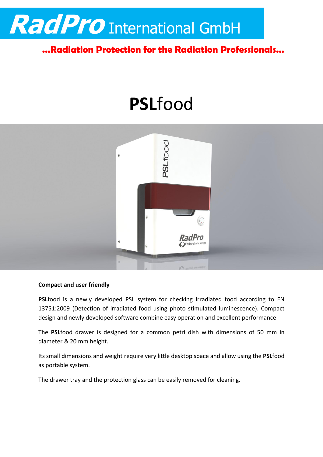

**...Radiation Protection for the Radiation Professionals...**

# **PSL**food



#### **Compact and user friendly**

**PSL**food is a newly developed PSL system for checking irradiated food according to EN 13751:2009 (Detection of irradiated food using photo stimulated luminescence). Compact design and newly developed software combine easy operation and excellent performance.

The **PSL**food drawer is designed for a common petri dish with dimensions of 50 mm in diameter & 20 mm height.

Its small dimensions and weight require very little desktop space and allow using the **PSL**food as portable system.

The drawer tray and the protection glass can be easily removed for cleaning.